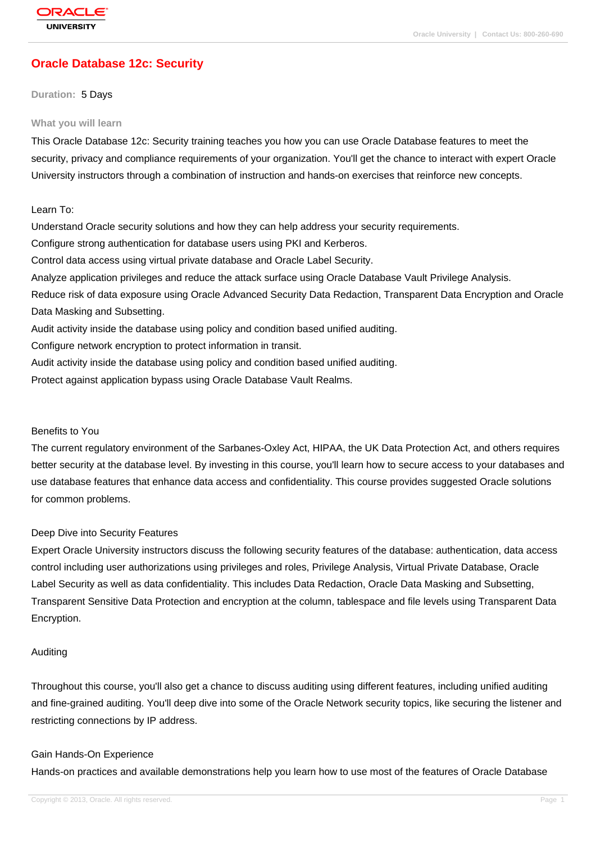# **[Oracle Databas](http://education.oracle.com/pls/web_prod-plq-dad/db_pages.getpage?page_id=3)e 12c: Security**

#### **Duration:** 5 Days

#### **What you will learn**

This Oracle Database 12c: Security training teaches you how you can use Oracle Database features to meet the security, privacy and compliance requirements of your organization. You'll get the chance to interact with expert Oracle University instructors through a combination of instruction and hands-on exercises that reinforce new concepts.

### Learn To:

Understand Oracle security solutions and how they can help address your security requirements. Configure strong authentication for database users using PKI and Kerberos. Control data access using virtual private database and Oracle Label Security. Analyze application privileges and reduce the attack surface using Oracle Database Vault Privilege Analysis. Reduce risk of data exposure using Oracle Advanced Security Data Redaction, Transparent Data Encryption and Oracle Data Masking and Subsetting. Audit activity inside the database using policy and condition based unified auditing. Configure network encryption to protect information in transit. Audit activity inside the database using policy and condition based unified auditing.

Protect against application bypass using Oracle Database Vault Realms.

#### Benefits to You

The current regulatory environment of the Sarbanes-Oxley Act, HIPAA, the UK Data Protection Act, and others requires better security at the database level. By investing in this course, you'll learn how to secure access to your databases and use database features that enhance data access and confidentiality. This course provides suggested Oracle solutions for common problems.

#### Deep Dive into Security Features

Expert Oracle University instructors discuss the following security features of the database: authentication, data access control including user authorizations using privileges and roles, Privilege Analysis, Virtual Private Database, Oracle Label Security as well as data confidentiality. This includes Data Redaction, Oracle Data Masking and Subsetting, Transparent Sensitive Data Protection and encryption at the column, tablespace and file levels using Transparent Data Encryption.

#### Auditing

Throughout this course, you'll also get a chance to discuss auditing using different features, including unified auditing and fine-grained auditing. You'll deep dive into some of the Oracle Network security topics, like securing the listener and restricting connections by IP address.

#### Gain Hands-On Experience

Hands-on practices and available demonstrations help you learn how to use most of the features of Oracle Database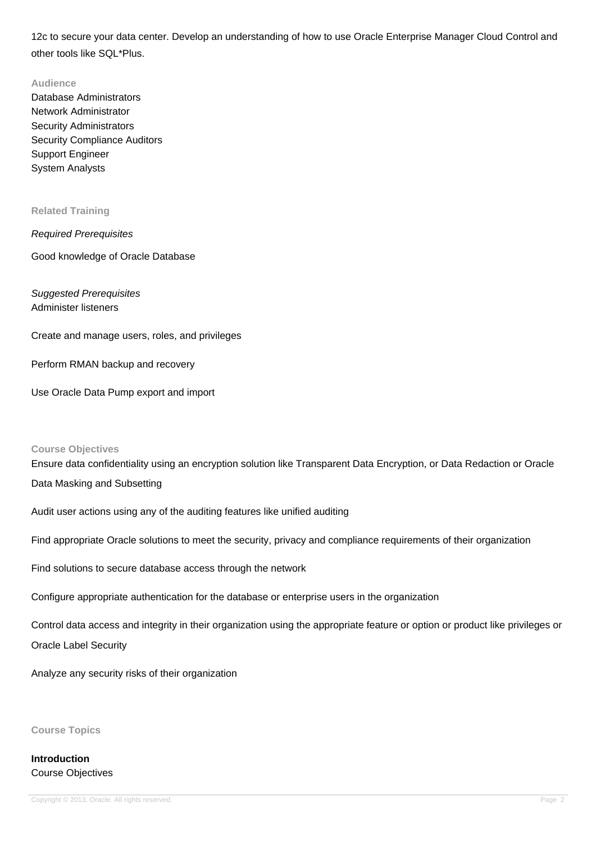12c to secure your data center. Develop an understanding of how to use Oracle Enterprise Manager Cloud Control and other tools like SQL\*Plus.

#### **Audience**

Database Administrators Network Administrator Security Administrators Security Compliance Auditors Support Engineer System Analysts

#### **Related Training**

Required Prerequisites

Good knowledge of Oracle Database

## Suggested Prerequisites Administer listeners

Create and manage users, roles, and privileges

Perform RMAN backup and recovery

Use Oracle Data Pump export and import

#### **Course Objectives**

Ensure data confidentiality using an encryption solution like Transparent Data Encryption, or Data Redaction or Oracle

Data Masking and Subsetting

Audit user actions using any of the auditing features like unified auditing

Find appropriate Oracle solutions to meet the security, privacy and compliance requirements of their organization

Find solutions to secure database access through the network

Configure appropriate authentication for the database or enterprise users in the organization

Control data access and integrity in their organization using the appropriate feature or option or product like privileges or Oracle Label Security

Analyze any security risks of their organization

**Course Topics**

**Introduction** Course Objectives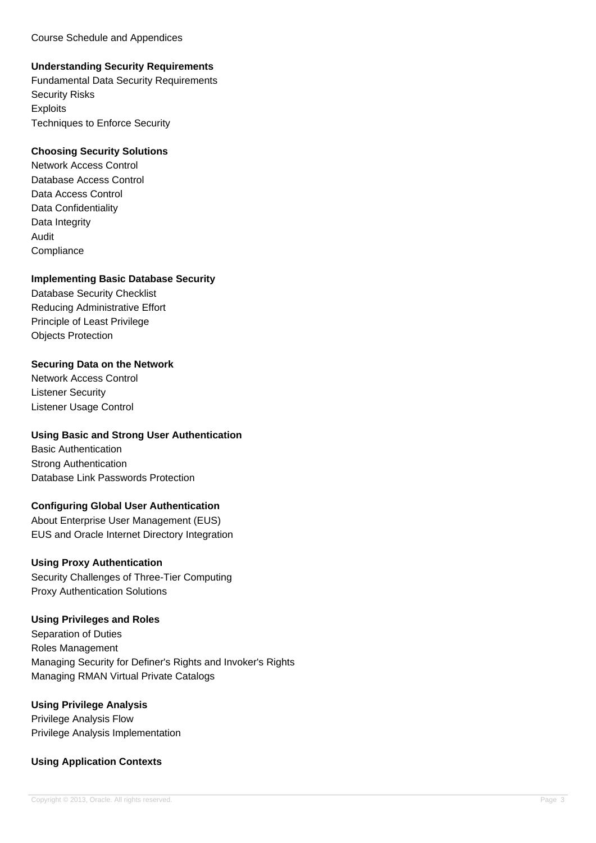Course Schedule and Appendices

## **Understanding Security Requirements**

Fundamental Data Security Requirements Security Risks **Exploits** Techniques to Enforce Security

### **Choosing Security Solutions**

Network Access Control Database Access Control Data Access Control Data Confidentiality Data Integrity Audit **Compliance** 

### **Implementing Basic Database Security**

Database Security Checklist Reducing Administrative Effort Principle of Least Privilege Objects Protection

## **Securing Data on the Network**

Network Access Control Listener Security Listener Usage Control

## **Using Basic and Strong User Authentication**

Basic Authentication Strong Authentication Database Link Passwords Protection

## **Configuring Global User Authentication**

About Enterprise User Management (EUS) EUS and Oracle Internet Directory Integration

## **Using Proxy Authentication**

Security Challenges of Three-Tier Computing Proxy Authentication Solutions

## **Using Privileges and Roles**

Separation of Duties Roles Management Managing Security for Definer's Rights and Invoker's Rights Managing RMAN Virtual Private Catalogs

## **Using Privilege Analysis**

Privilege Analysis Flow Privilege Analysis Implementation

## **Using Application Contexts**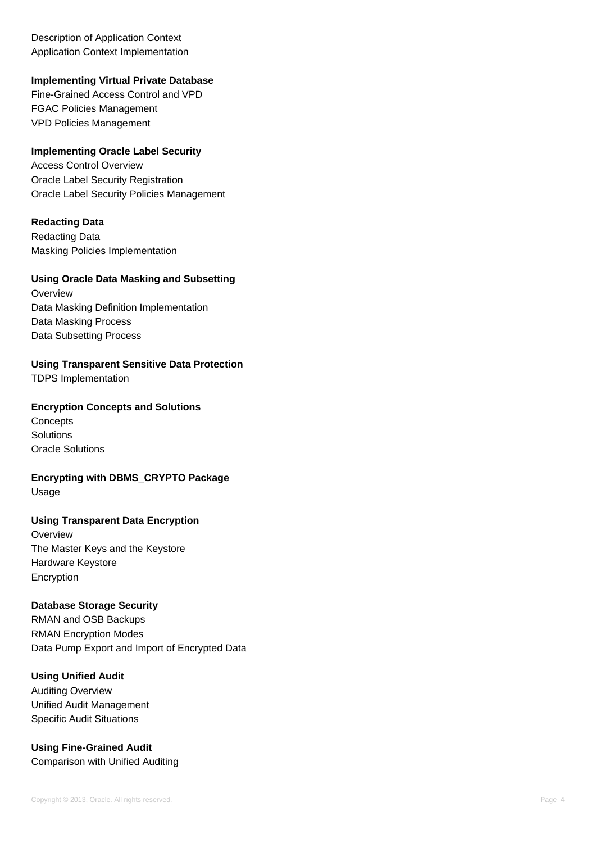Description of Application Context Application Context Implementation

## **Implementing Virtual Private Database**

Fine-Grained Access Control and VPD FGAC Policies Management VPD Policies Management

### **Implementing Oracle Label Security**

Access Control Overview Oracle Label Security Registration Oracle Label Security Policies Management

### **Redacting Data**

Redacting Data Masking Policies Implementation

## **Using Oracle Data Masking and Subsetting**

**Overview** Data Masking Definition Implementation Data Masking Process Data Subsetting Process

**Using Transparent Sensitive Data Protection**

TDPS Implementation

### **Encryption Concepts and Solutions**

**Concepts** Solutions Oracle Solutions

**Encrypting with DBMS\_CRYPTO Package** Usage

# **Using Transparent Data Encryption**

**Overview** The Master Keys and the Keystore Hardware Keystore Encryption

#### **Database Storage Security**

RMAN and OSB Backups RMAN Encryption Modes Data Pump Export and Import of Encrypted Data

# **Using Unified Audit**

Auditing Overview Unified Audit Management Specific Audit Situations

#### **Using Fine-Grained Audit** Comparison with Unified Auditing